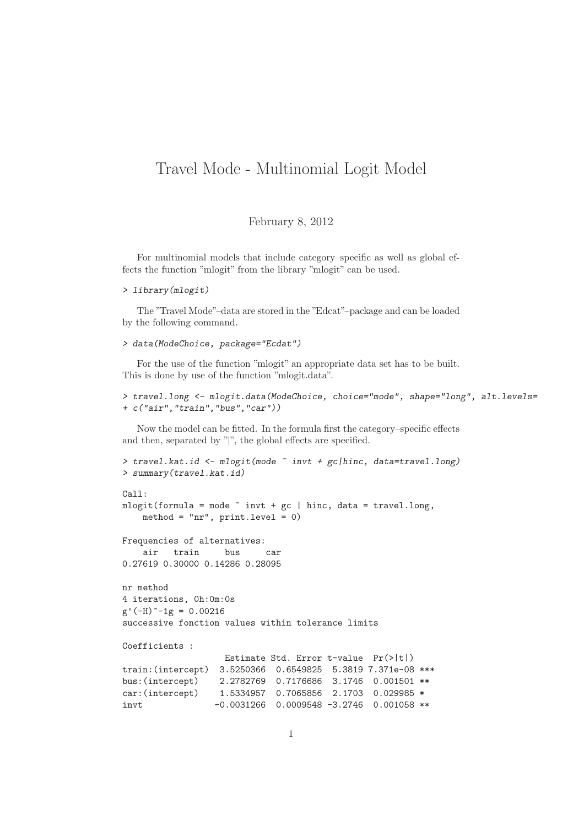## Travel Mode - Multinomial Logit Model

## February 8, 2012

For multinomial models that include category–specific as well as global effects the function "mlogit" from the library "mlogit" can be used.

```
> library(mlogit)
```
The "Travel Mode"–data are stored in the "Edcat"–package and can be loaded by the following command.

```
> data(ModeChoice, package="Ecdat")
```
For the use of the function "mlogit" an appropriate data set has to be built. This is done by use of the function "mlogit.data".

```
> travel.long <- mlogit.data(ModeChoice, choice="mode", shape="long", alt.levels=
+ c("air","train","bus","car"))
```
Now the model can be fitted. In the formula first the category–specific effects and then, separated by "|", the global effects are specified.

```
> travel.kat.id <- mlogit(mode ~ invt + gc|hinc, data=travel.long)
> summary(travel.kat.id)
Ca11:mlogit(formula = mode \tilde{ } invt + gc | hinc, data = travel.long,
   method = "nr", print.level = 0)
Frequencies of alternatives:
   air train bus car
0.27619 0.30000 0.14286 0.28095
nr method
4 iterations, 0h:0m:0s
g'(-H)^{-1}g = 0.00216successive fonction values within tolerance limits
Coefficients :
                  Estimate Std. Error t-value Pr(>|t|)
train:(intercept) 3.5250366 0.6549825 5.3819 7.371e-08 ***
bus:(intercept) 2.2782769 0.7176686 3.1746 0.001501 **
car:(intercept) 1.5334957 0.7065856 2.1703 0.029985 *
invt  -0.0031266  0.0009548 -3.2746  0.001058 **
```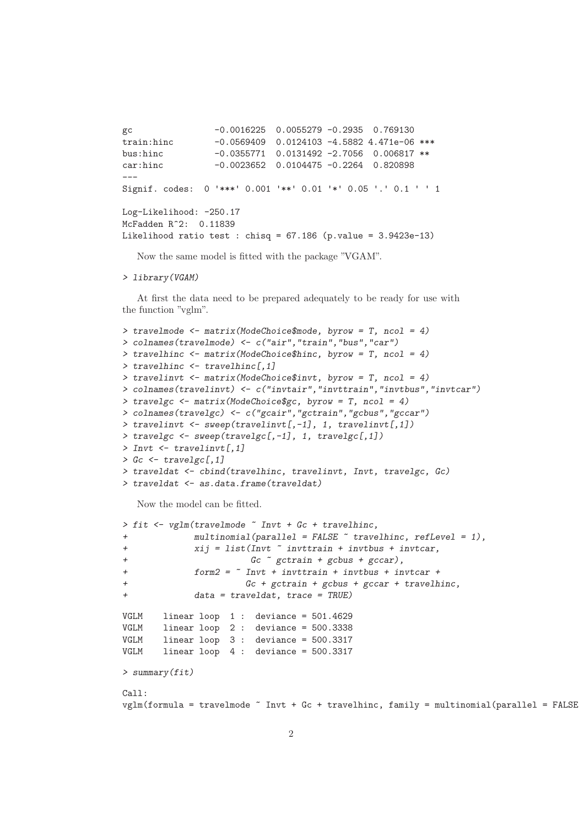```
gc -0.0016225 0.0055279 -0.2935 0.769130
train:hinc -0.0569409 0.0124103 -4.5882 4.471e-06 ***
bus:hinc -0.0355771 0.0131492 -2.7056 0.006817 **
car:hinc -0.0023652 0.0104475 -0.2264 0.820898
---
Signif. codes: 0 '***' 0.001 '**' 0.01 '*' 0.05 '.' 0.1 ' ' 1
Log-Likelihood: -250.17
McFadden R^2: 0.11839
Likelihood ratio test : chisq = 67.186 (p.value = 3.9423e-13)
```
Now the same model is fitted with the package "VGAM".

```
> library(VGAM)
```
At first the data need to be prepared adequately to be ready for use with the function "vglm".

```
> travelmode <- matrix(ModeChoice$mode, byrow = T, ncol = 4)
> colnames(travelmode) <- c("air","train","bus","car")
> travelhinc <- matrix(ModeChoice$hinc, byrow = T, ncol = 4)
> travelhinc <- travelhinc[,1]
> travelinvt <- matrix(ModeChoice$invt, byrow = T, ncol = 4)
> colnames(travelinvt) <- c("invtair","invttrain","invtbus","invtcar")
> travelgc <- matrix(ModeChoice$gc, byrow = T, ncol = 4)
> colnames(travelgc) <- c("gcair","gctrain","gcbus","gccar")
> travelinvt <- sweep(travelinvt[,-1], 1, travelinvt[,1])
> travelgc <- sweep(travelgc[,-1], 1, travelgc[,1])
> Invt \leq travelinvt[.1]
> Gc \le travelgc[.1]
> traveldat <- cbind(travelhinc, travelinvt, Invt, travelgc, Gc)
> traveldat <- as.data.frame(traveldat)
```
Now the model can be fitted.

```
> fit \leq vglm(travelmode \sim Invt + Gc + travelhinc,
            multinomial(parallel = FALSE \text{ "travelhinc, reflect} = 1),+ xij = list(Invt ~ invttrain + invtbus + invtcar,
+ Gc ~ gctrain + gcbus + gccar),
+ form2 = ~ Invt + invttrain + invtbus + invtcar +
+ Gc + gctrain + gcbus + gccar + travelhinc,
+ data = traveldat, trace = TRUE)
VGLM linear loop 1 : deviance = 501.4629
VGLM linear loop 2 : deviance = 500.3338
VGLM linear loop 3 : deviance = 500.3317
VGLM linear loop 4 : deviance = 500.3317
> summary(fit)
Call:
vglm(formula = travelmode \tilde{ } Invt + Gc + travelhinc, family = multinomial(parallel = FALSE
```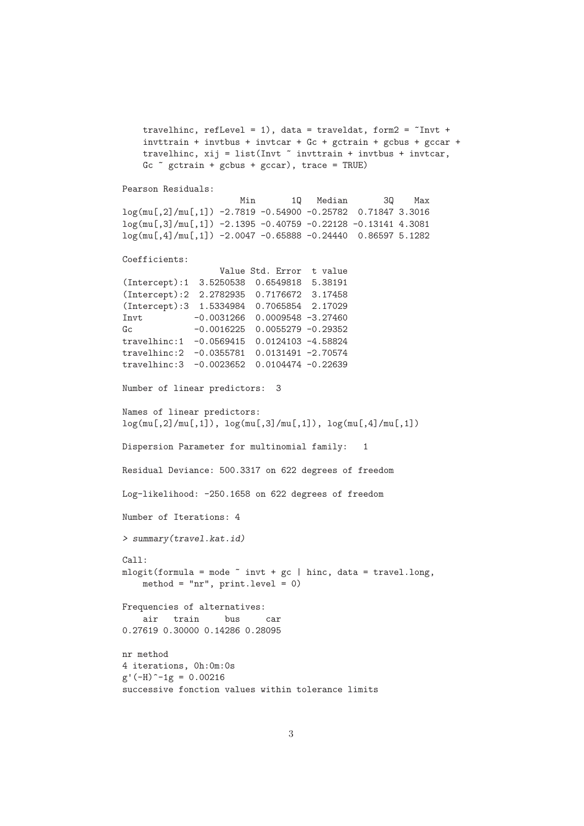```
travelhinc, refLevel = 1), data = traveldat, form2 = \tilde{}Invt +
    invttrain + invtbus + invtcar + Gc + gctrain + gcbus + gccar +
    travelhinc, xij = list(Invt * invttrain + invtbus + invtcar,Gc \degree gctrain + gcbus + gccar), trace = TRUE)
Pearson Residuals:
                      Min 1Q Median 3Q Max
log(mu[,2]/mu[,1]) -2.7819 -0.54900 -0.25782 0.71847 3.3016
log(mu[,3]/mu[,1]) -2.1395 -0.40759 -0.22128 -0.13141 4.3081
log(mu[,4]/mu[,1]) -2.0047 -0.65888 -0.24440 0.86597 5.1282
Coefficients:
                  Value Std. Error t value
(Intercept):1 3.5250538 0.6549818 5.38191
(Intercept):2 2.2782935 0.7176672 3.17458
(Intercept):3 1.5334984 0.7065854 2.17029
Invt -0.0031266 0.0009548 -3.27460
Gc -0.0016225 0.0055279 -0.29352
travelhinc:1 -0.0569415 0.0124103 -4.58824
travelhinc:2 -0.0355781 0.0131491 -2.70574
travelhinc:3 -0.0023652 0.0104474 -0.22639
Number of linear predictors: 3
Names of linear predictors:
log(mu[,2]/mu[,1]), log(mu[,3]/mu[,1]), log(mu[,4]/mu[,1])
Dispersion Parameter for multinomial family: 1
Residual Deviance: 500.3317 on 622 degrees of freedom
Log-likelihood: -250.1658 on 622 degrees of freedom
Number of Iterations: 4
> summary(travel.kat.id)
Call:
mlogit(formula = mode \text{ and } t + gc \text{)} hinc, data = travel.long,
   method = "nr", print.level = 0)
Frequencies of alternatives:
   air train bus car
0.27619 0.30000 0.14286 0.28095
nr method
4 iterations, 0h:0m:0s
g'(-H)^-1g = 0.00216successive fonction values within tolerance limits
```